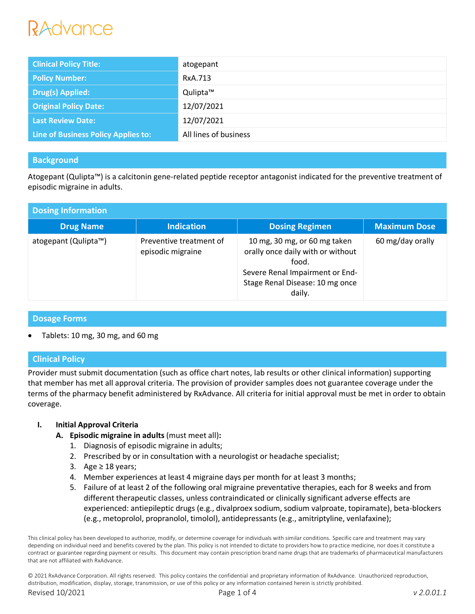# lAdvance

| <b>Clinical Policy Title:</b>       | atogepant             |
|-------------------------------------|-----------------------|
| <b>Policy Number:</b>               | RxA.713               |
| <b>Drug(s) Applied:</b>             | Qulipta™              |
| <b>Original Policy Date:</b>        | 12/07/2021            |
| <b>Last Review Date:</b>            | 12/07/2021            |
| Line of Business Policy Applies to: | All lines of business |

## **Background**

Atogepant (Qulipta™) is a calcitonin gene-related peptide receptor antagonist indicated for the preventive treatment of episodic migraine in adults.

| <b>Dosing Information</b> |                                              |                                                                                                                                                            |                     |  |  |
|---------------------------|----------------------------------------------|------------------------------------------------------------------------------------------------------------------------------------------------------------|---------------------|--|--|
| <b>Drug Name</b>          | <b>Indication</b>                            | <b>Dosing Regimen</b>                                                                                                                                      | <b>Maximum Dose</b> |  |  |
| atogepant (Qulipta™)      | Preventive treatment of<br>episodic migraine | 10 mg, 30 mg, or 60 mg taken<br>orally once daily with or without<br>food.<br>Severe Renal Impairment or End-<br>Stage Renal Disease: 10 mg once<br>daily. | 60 mg/day orally    |  |  |

## **Dosage Forms**

Tablets: 10 mg, 30 mg, and 60 mg

## **Clinical Policy**

Provider must submit documentation (such as office chart notes, lab results or other clinical information) supporting that member has met all approval criteria. The provision of provider samples does not guarantee coverage under the terms of the pharmacy benefit administered by RxAdvance. All criteria for initial approval must be met in order to obtain coverage.

#### **I. Initial Approval Criteria**

- **A. Episodic migraine in adults** (must meet all)**:**
	- 1. Diagnosis of episodic migraine in adults;
	- 2. Prescribed by or in consultation with a neurologist or headache specialist;
	- 3. Age  $\geq$  18 years;
	- 4. Member experiences at least 4 migraine days per month for at least 3 months;
	- 5. Failure of at least 2 of the following oral migraine preventative therapies, each for 8 weeks and from different therapeutic classes, unless contraindicated or clinically significant adverse effects are experienced: antiepileptic drugs (e.g., divalproex sodium, sodium valproate, topiramate), beta-blockers (e.g., metoprolol, propranolol, timolol), antidepressants (e.g., amitriptyline, venlafaxine);

This clinical policy has been developed to authorize, modify, or determine coverage for individuals with similar conditions. Specific care and treatment may vary depending on individual need and benefits covered by the plan. This policy is not intended to dictate to providers how to practice medicine, nor does it constitute a contract or guarantee regarding payment or results. This document may contain prescription brand name drugs that are trademarks of pharmaceutical manufacturers that are not affiliated with RxAdvance.

© 2021 RxAdvance Corporation. All rights reserved. This policy contains the confidential and proprietary information of RxAdvance. Unauthorized reproduction, distribution, modification, display, storage, transmission, or use of this policy or any information contained herein is strictly prohibited. Revised 10/2021 Page 1 of 4 *v 2.0.01.1*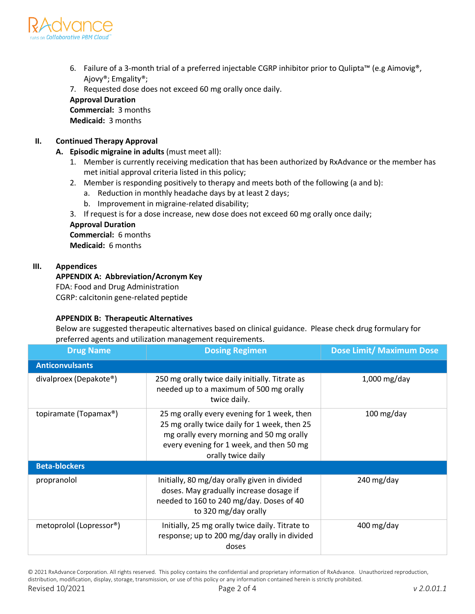

- 6. Failure of a 3-month trial of a preferred injectable CGRP inhibitor prior to Qulipta™ (e.g Aimovig®, Ajovy®; Emgality®;
- 7. Requested dose does not exceed 60 mg orally once daily.

#### **Approval Duration**

**Commercial:** 3 months **Medicaid:** 3 months

#### **II. Continued Therapy Approval**

- **A. Episodic migraine in adults** (must meet all):
	- 1. Member is currently receiving medication that has been authorized by RxAdvance or the member has met initial approval criteria listed in this policy;
	- 2. Member is responding positively to therapy and meets both of the following (a and b):
		- a. Reduction in monthly headache days by at least 2 days;
		- b. Improvement in migraine-related disability;
	- 3. If request is for a dose increase, new dose does not exceed 60 mg orally once daily;

#### **Approval Duration**

**Commercial:** 6 months **Medicaid:** 6 months

#### **III. Appendices**

#### **APPENDIX A: Abbreviation/Acronym Key**

FDA: Food and Drug Administration CGRP: calcitonin gene-related peptide

#### **APPENDIX B: Therapeutic Alternatives**

Below are suggested therapeutic alternatives based on clinical guidance. Please check drug formulary for preferred agents and utilization management requirements.

| <b>Drug Name</b>                     | <b>Dosing Regimen</b>                                                                                                                                                                                     | <b>Dose Limit/ Maximum Dose</b> |  |  |
|--------------------------------------|-----------------------------------------------------------------------------------------------------------------------------------------------------------------------------------------------------------|---------------------------------|--|--|
| <b>Anticonvulsants</b>               |                                                                                                                                                                                                           |                                 |  |  |
| divalproex (Depakote®)               | 250 mg orally twice daily initially. Titrate as<br>needed up to a maximum of 500 mg orally<br>twice daily.                                                                                                | $1,000$ mg/day                  |  |  |
| topiramate (Topamax®)                | 25 mg orally every evening for 1 week, then<br>25 mg orally twice daily for 1 week, then 25<br>mg orally every morning and 50 mg orally<br>every evening for 1 week, and then 50 mg<br>orally twice daily | $100$ mg/day                    |  |  |
| <b>Beta-blockers</b>                 |                                                                                                                                                                                                           |                                 |  |  |
| propranolol                          | Initially, 80 mg/day orally given in divided<br>doses. May gradually increase dosage if<br>needed to 160 to 240 mg/day. Doses of 40<br>to 320 mg/day orally                                               | 240 mg/day                      |  |  |
| metoprolol (Lopressor <sup>®</sup> ) | Initially, 25 mg orally twice daily. Titrate to<br>response; up to 200 mg/day orally in divided<br>doses                                                                                                  | $400 \,\mathrm{mg/day}$         |  |  |

© 2021 RxAdvance Corporation. All rights reserved. This policy contains the confidential and proprietary information of RxAdvance. Unauthorized reproduction, distribution, modification, display, storage, transmission, or use of this policy or any information contained herein is strictly prohibited. Revised 10/2021 Page 2 of 4 *v 2.0.01.1*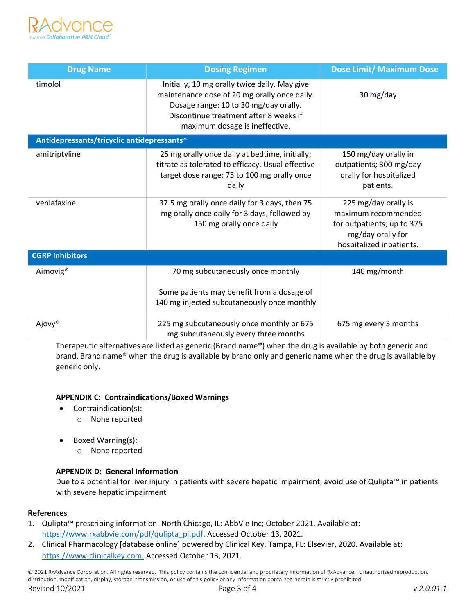

| <b>Drug Name</b>                           | <b>Dosing Regimen</b>                                                                                                                                                                                              | <b>Dose Limit/ Maximum Dose</b>                                                                                            |  |  |
|--------------------------------------------|--------------------------------------------------------------------------------------------------------------------------------------------------------------------------------------------------------------------|----------------------------------------------------------------------------------------------------------------------------|--|--|
| timolol                                    | Initially, 10 mg orally twice daily. May give<br>maintenance dose of 20 mg orally once daily.<br>Dosage range: 10 to 30 mg/day orally.<br>Discontinue treatment after 8 weeks if<br>maximum dosage is ineffective. | 30 mg/day                                                                                                                  |  |  |
| Antidepressants/tricyclic antidepressants* |                                                                                                                                                                                                                    |                                                                                                                            |  |  |
| amitriptyline                              | 25 mg orally once daily at bedtime, initially;<br>titrate as tolerated to efficacy. Usual effective<br>target dose range: 75 to 100 mg orally once<br>daily                                                        | 150 mg/day orally in<br>outpatients; 300 mg/day<br>orally for hospitalized<br>patients.                                    |  |  |
| venlafaxine                                | 37.5 mg orally once daily for 3 days, then 75<br>mg orally once daily for 3 days, followed by<br>150 mg orally once daily                                                                                          | 225 mg/day orally is<br>maximum recommended<br>for outpatients; up to 375<br>mg/day orally for<br>hospitalized inpatients. |  |  |
| <b>CGRP Inhibitors</b>                     |                                                                                                                                                                                                                    |                                                                                                                            |  |  |
| Aimovig <sup>®</sup>                       | 70 mg subcutaneously once monthly<br>Some patients may benefit from a dosage of<br>140 mg injected subcutaneously once monthly                                                                                     | 140 mg/month                                                                                                               |  |  |
| Ajovy®                                     | 225 mg subcutaneously once monthly or 675<br>675 mg every 3 months<br>mg subcutaneously every three months                                                                                                         |                                                                                                                            |  |  |

Therapeutic alternatives are listed as generic (Brand name®) when the drug is available by both generic and brand, Brand name® when the drug is available by brand only and generic name when the drug is available by generic only.

#### **APPENDIX C: Contraindications/Boxed Warnings**

- Contraindication(s):
	- o None reported
- Boxed Warning(s):
	- o None reported

#### **APPENDIX D: General Information**

Due to a potential for liver injury in patients with severe hepatic impairment, avoid use of Qulipta™ in patients with severe hepatic impairment

#### **References**

- 1. Qulipta™ prescribing information. North Chicago, IL: AbbVie Inc; October 2021. Available at: https://www.rxabbvie.com/pdf/qulipta\_pi.pdf. Accessed October 13, 2021.
- 2. Clinical Pharmacology [database online] powered by Clinical Key. Tampa, FL: Elsevier, 2020. Available at: https://www.clinicalkey.com. Accessed October 13, 2021.